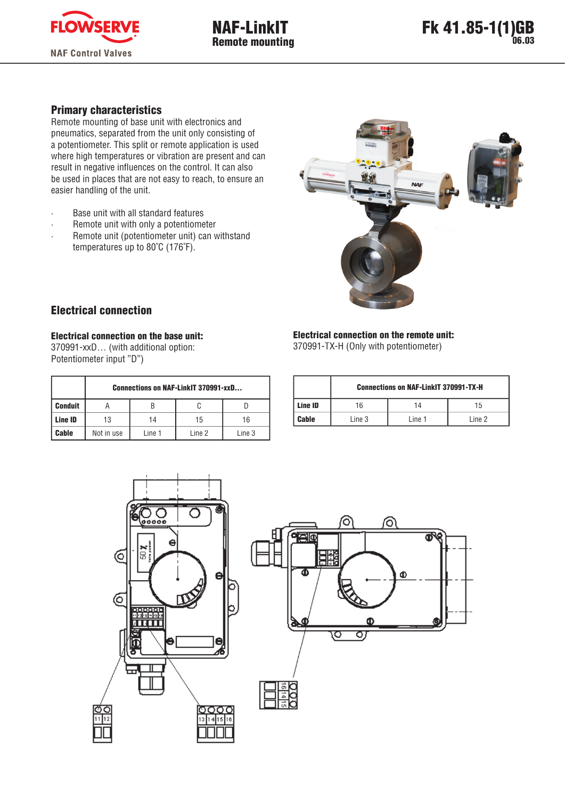

# Primary characteristics

Remote mounting of base unit with electronics and pneumatics, separated from the unit only consisting of a potentiometer. This split or remote application is used where high temperatures or vibration are present and can result in negative influences on the control. It can also be used in places that are not easy to reach, to ensure an easier handling of the unit.

- Base unit with all standard features
- · Remote unit with only a potentiometer
- · Remote unit (potentiometer unit) can withstand temperatures up to 80˚C (176˚F).



## Electrical connection

Electrical connection on the base unit:

370991-xxD… (with additional option: Potentiometer input "D")

|                | <b>Connections on NAF-LinkIT 370991-xxD</b> |        |        |        |  |  |  |  |  |
|----------------|---------------------------------------------|--------|--------|--------|--|--|--|--|--|
| <b>Conduit</b> | B                                           |        |        |        |  |  |  |  |  |
| Line ID        | 13                                          | 14     | 15     | 16     |  |  |  |  |  |
| Cable          | Not in use                                  | Line 1 | Line 2 | Line 3 |  |  |  |  |  |

#### Electrical connection on the remote unit:

370991-TX-H (Only with potentiometer)

|         | <b>Connections on NAF-LinkIT 370991-TX-H</b> |        |        |  |  |  |  |  |
|---------|----------------------------------------------|--------|--------|--|--|--|--|--|
| Line ID | 16                                           | 14     | 15     |  |  |  |  |  |
| Cable   | Line 3                                       | Line 1 | Line 2 |  |  |  |  |  |